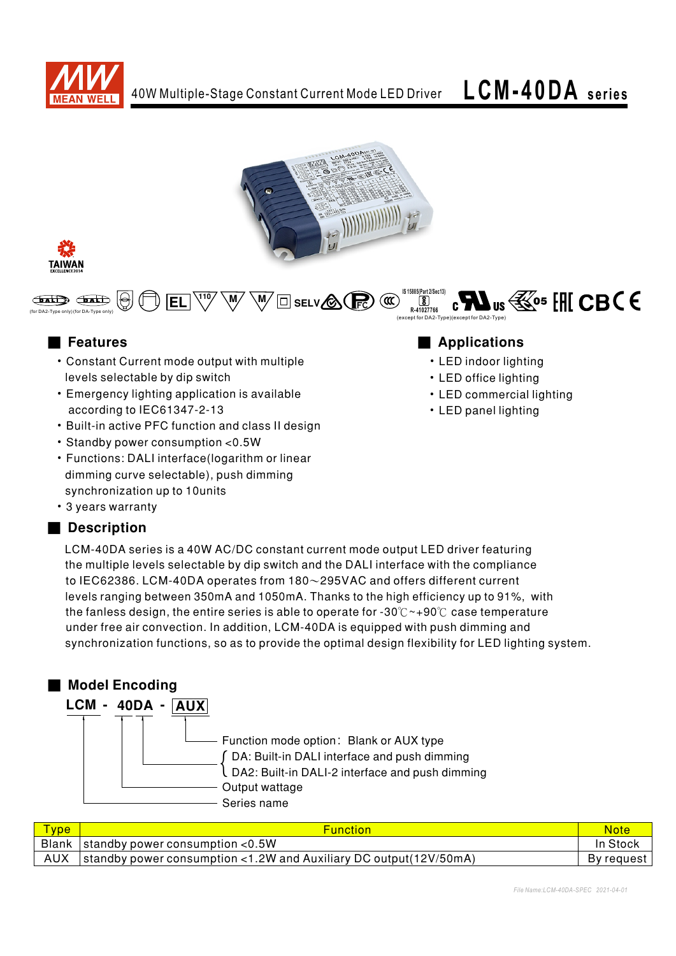







- Constant Current mode output with multiple levels selectable by dip switch
- Emergency lighting application is available according to IEC61347-2-13
- Built-in active PFC function and class II design
- Standby power consumption < 0.5W
- Functions: DALI interface(logarithm or linear dimming curve selectable), push dimming synchronization up to 10units
- 3 years warranty

# Description

# ■ Features ■ National Manufactures ■ Applications

- LED indoor lighting
- LED office lighting
- LED commercial lighting
- LED panel lighting

LCM-40DA series is a 40W AC/DC constant current mode output LED driver featuring the multiple levels selectable by dip switch and the DALI interface with the compliance to IEC62386. LCM-40DA operates from  $180\sim$ 295VAC and offers different current levels ranging between 350mA and 1050mA. Thanks to the high efficiency up to 91%, with the fanless design, the entire series is able to operate for -30 $\degree$  ~+90 $\degree$ C case temperature under free air convection. In addition, LCM-40DA is equipped with push dimming and synchronization functions, so as to provide the optimal design flexibility for LED lighting system.



| <b>Type</b> | <b>Function</b>                                                       | <b>Note</b> |
|-------------|-----------------------------------------------------------------------|-------------|
|             | , Blank <code> standby</code> power consumption <code>&lt;0.5W</code> | In Stock    |
|             | standby power consumption <1.2W and Auxiliary DC output(12V/50mA)     | By request  |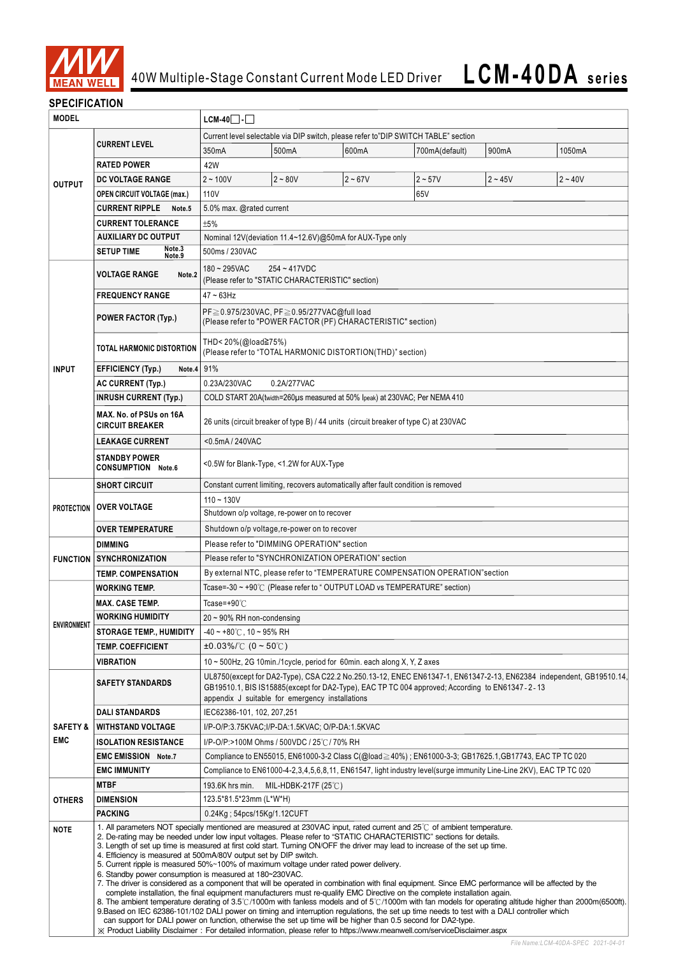

## **SPECIFICATION**

| <b>MODEL</b>                                  |                                                                                                                                                                                                                                                                                                                                                                                                                                                                                                                                                                                                                                                                                                                                                                                                                                                                                                                                                                                                                                                                                                                                                                                                                                                                                                                                                                                                                                                             | $LCM-40$ $\Box$                                                                                                                                                                                                                                                          |                                                                                    |           |                                                                                                       |           |           |  |
|-----------------------------------------------|-------------------------------------------------------------------------------------------------------------------------------------------------------------------------------------------------------------------------------------------------------------------------------------------------------------------------------------------------------------------------------------------------------------------------------------------------------------------------------------------------------------------------------------------------------------------------------------------------------------------------------------------------------------------------------------------------------------------------------------------------------------------------------------------------------------------------------------------------------------------------------------------------------------------------------------------------------------------------------------------------------------------------------------------------------------------------------------------------------------------------------------------------------------------------------------------------------------------------------------------------------------------------------------------------------------------------------------------------------------------------------------------------------------------------------------------------------------|--------------------------------------------------------------------------------------------------------------------------------------------------------------------------------------------------------------------------------------------------------------------------|------------------------------------------------------------------------------------|-----------|-------------------------------------------------------------------------------------------------------|-----------|-----------|--|
|                                               |                                                                                                                                                                                                                                                                                                                                                                                                                                                                                                                                                                                                                                                                                                                                                                                                                                                                                                                                                                                                                                                                                                                                                                                                                                                                                                                                                                                                                                                             | Current level selectable via DIP switch, please refer to"DIP SWITCH TABLE" section                                                                                                                                                                                       |                                                                                    |           |                                                                                                       |           |           |  |
| <b>OUTPUT</b>                                 | <b>CURRENT LEVEL</b>                                                                                                                                                                                                                                                                                                                                                                                                                                                                                                                                                                                                                                                                                                                                                                                                                                                                                                                                                                                                                                                                                                                                                                                                                                                                                                                                                                                                                                        | 350mA                                                                                                                                                                                                                                                                    | 500mA                                                                              | 600mA     | 700mA(default)                                                                                        | 900mA     | 1050mA    |  |
|                                               | <b>RATED POWER</b>                                                                                                                                                                                                                                                                                                                                                                                                                                                                                                                                                                                                                                                                                                                                                                                                                                                                                                                                                                                                                                                                                                                                                                                                                                                                                                                                                                                                                                          | 42W                                                                                                                                                                                                                                                                      |                                                                                    |           |                                                                                                       |           |           |  |
|                                               | <b>DC VOLTAGE RANGE</b>                                                                                                                                                                                                                                                                                                                                                                                                                                                                                                                                                                                                                                                                                                                                                                                                                                                                                                                                                                                                                                                                                                                                                                                                                                                                                                                                                                                                                                     | $2 - 100V$                                                                                                                                                                                                                                                               | $2 - 80V$                                                                          | $2 - 67V$ | $2 - 57V$                                                                                             | $2 - 45V$ | $2 - 40V$ |  |
|                                               | <b>OPEN CIRCUIT VOLTAGE (max.)</b>                                                                                                                                                                                                                                                                                                                                                                                                                                                                                                                                                                                                                                                                                                                                                                                                                                                                                                                                                                                                                                                                                                                                                                                                                                                                                                                                                                                                                          | 110V<br>65V                                                                                                                                                                                                                                                              |                                                                                    |           |                                                                                                       |           |           |  |
|                                               | <b>CURRENT RIPPLE</b><br>Note.5                                                                                                                                                                                                                                                                                                                                                                                                                                                                                                                                                                                                                                                                                                                                                                                                                                                                                                                                                                                                                                                                                                                                                                                                                                                                                                                                                                                                                             |                                                                                                                                                                                                                                                                          | 5.0% max. @rated current                                                           |           |                                                                                                       |           |           |  |
|                                               | <b>CURRENT TOLERANCE</b>                                                                                                                                                                                                                                                                                                                                                                                                                                                                                                                                                                                                                                                                                                                                                                                                                                                                                                                                                                                                                                                                                                                                                                                                                                                                                                                                                                                                                                    | ±5%                                                                                                                                                                                                                                                                      |                                                                                    |           |                                                                                                       |           |           |  |
|                                               | <b>AUXILIARY DC OUTPUT</b>                                                                                                                                                                                                                                                                                                                                                                                                                                                                                                                                                                                                                                                                                                                                                                                                                                                                                                                                                                                                                                                                                                                                                                                                                                                                                                                                                                                                                                  | Nominal 12V (deviation 11.4~12.6V) @50mA for AUX-Type only                                                                                                                                                                                                               |                                                                                    |           |                                                                                                       |           |           |  |
|                                               | Note.3<br><b>SETUP TIME</b><br>Note.9                                                                                                                                                                                                                                                                                                                                                                                                                                                                                                                                                                                                                                                                                                                                                                                                                                                                                                                                                                                                                                                                                                                                                                                                                                                                                                                                                                                                                       | 500ms / 230VAC                                                                                                                                                                                                                                                           |                                                                                    |           |                                                                                                       |           |           |  |
|                                               | $180 - 295$ VAC<br>254~417VDC                                                                                                                                                                                                                                                                                                                                                                                                                                                                                                                                                                                                                                                                                                                                                                                                                                                                                                                                                                                                                                                                                                                                                                                                                                                                                                                                                                                                                               |                                                                                                                                                                                                                                                                          |                                                                                    |           |                                                                                                       |           |           |  |
|                                               | <b>VOLTAGE RANGE</b><br>Note <sub>.2</sub>                                                                                                                                                                                                                                                                                                                                                                                                                                                                                                                                                                                                                                                                                                                                                                                                                                                                                                                                                                                                                                                                                                                                                                                                                                                                                                                                                                                                                  | (Please refer to "STATIC CHARACTERISTIC" section)                                                                                                                                                                                                                        |                                                                                    |           |                                                                                                       |           |           |  |
|                                               | <b>FREQUENCY RANGE</b>                                                                                                                                                                                                                                                                                                                                                                                                                                                                                                                                                                                                                                                                                                                                                                                                                                                                                                                                                                                                                                                                                                                                                                                                                                                                                                                                                                                                                                      | $47 - 63$ Hz                                                                                                                                                                                                                                                             |                                                                                    |           |                                                                                                       |           |           |  |
|                                               | <b>POWER FACTOR (Typ.)</b>                                                                                                                                                                                                                                                                                                                                                                                                                                                                                                                                                                                                                                                                                                                                                                                                                                                                                                                                                                                                                                                                                                                                                                                                                                                                                                                                                                                                                                  | PF≥0.975/230VAC, PF≥0.95/277VAC@full load<br>(Please refer to "POWER FACTOR (PF) CHARACTERISTIC" section)                                                                                                                                                                |                                                                                    |           |                                                                                                       |           |           |  |
|                                               | <b>TOTAL HARMONIC DISTORTION</b>                                                                                                                                                                                                                                                                                                                                                                                                                                                                                                                                                                                                                                                                                                                                                                                                                                                                                                                                                                                                                                                                                                                                                                                                                                                                                                                                                                                                                            |                                                                                                                                                                                                                                                                          | THD< 20%(@load≧75%)<br>(Please refer to "TOTAL HARMONIC DISTORTION(THD)" section)  |           |                                                                                                       |           |           |  |
| <b>INPUT</b>                                  | <b>EFFICIENCY (Typ.)</b><br>Note.4                                                                                                                                                                                                                                                                                                                                                                                                                                                                                                                                                                                                                                                                                                                                                                                                                                                                                                                                                                                                                                                                                                                                                                                                                                                                                                                                                                                                                          | 91%                                                                                                                                                                                                                                                                      |                                                                                    |           |                                                                                                       |           |           |  |
|                                               | <b>AC CURRENT (Typ.)</b>                                                                                                                                                                                                                                                                                                                                                                                                                                                                                                                                                                                                                                                                                                                                                                                                                                                                                                                                                                                                                                                                                                                                                                                                                                                                                                                                                                                                                                    | 0.23A/230VAC                                                                                                                                                                                                                                                             | 0.2A/277VAC                                                                        |           |                                                                                                       |           |           |  |
|                                               | <b>INRUSH CURRENT (Typ.)</b>                                                                                                                                                                                                                                                                                                                                                                                                                                                                                                                                                                                                                                                                                                                                                                                                                                                                                                                                                                                                                                                                                                                                                                                                                                                                                                                                                                                                                                |                                                                                                                                                                                                                                                                          | COLD START 20A(twidth=260µs measured at 50% Ipeak) at 230VAC; Per NEMA 410         |           |                                                                                                       |           |           |  |
|                                               | MAX. No. of PSUs on 16A<br><b>CIRCUIT BREAKER</b>                                                                                                                                                                                                                                                                                                                                                                                                                                                                                                                                                                                                                                                                                                                                                                                                                                                                                                                                                                                                                                                                                                                                                                                                                                                                                                                                                                                                           | 26 units (circuit breaker of type B) / 44 units (circuit breaker of type C) at 230VAC                                                                                                                                                                                    |                                                                                    |           |                                                                                                       |           |           |  |
|                                               | <b>LEAKAGE CURRENT</b>                                                                                                                                                                                                                                                                                                                                                                                                                                                                                                                                                                                                                                                                                                                                                                                                                                                                                                                                                                                                                                                                                                                                                                                                                                                                                                                                                                                                                                      | <0.5mA/240VAC                                                                                                                                                                                                                                                            |                                                                                    |           |                                                                                                       |           |           |  |
|                                               | <b>STANDBY POWER</b><br><b>CONSUMPTION Note.6</b>                                                                                                                                                                                                                                                                                                                                                                                                                                                                                                                                                                                                                                                                                                                                                                                                                                                                                                                                                                                                                                                                                                                                                                                                                                                                                                                                                                                                           | <0.5W for Blank-Type, <1.2W for AUX-Type                                                                                                                                                                                                                                 |                                                                                    |           |                                                                                                       |           |           |  |
|                                               | <b>SHORT CIRCUIT</b>                                                                                                                                                                                                                                                                                                                                                                                                                                                                                                                                                                                                                                                                                                                                                                                                                                                                                                                                                                                                                                                                                                                                                                                                                                                                                                                                                                                                                                        |                                                                                                                                                                                                                                                                          | Constant current limiting, recovers automatically after fault condition is removed |           |                                                                                                       |           |           |  |
|                                               | <b>OVER VOLTAGE</b>                                                                                                                                                                                                                                                                                                                                                                                                                                                                                                                                                                                                                                                                                                                                                                                                                                                                                                                                                                                                                                                                                                                                                                                                                                                                                                                                                                                                                                         | $110 - 130V$<br>Shutdown o/p voltage, re-power on to recover                                                                                                                                                                                                             |                                                                                    |           |                                                                                                       |           |           |  |
| <b>PROTECTION</b>                             |                                                                                                                                                                                                                                                                                                                                                                                                                                                                                                                                                                                                                                                                                                                                                                                                                                                                                                                                                                                                                                                                                                                                                                                                                                                                                                                                                                                                                                                             |                                                                                                                                                                                                                                                                          |                                                                                    |           |                                                                                                       |           |           |  |
|                                               | <b>OVER TEMPERATURE</b>                                                                                                                                                                                                                                                                                                                                                                                                                                                                                                                                                                                                                                                                                                                                                                                                                                                                                                                                                                                                                                                                                                                                                                                                                                                                                                                                                                                                                                     |                                                                                                                                                                                                                                                                          | Shutdown o/p voltage, re-power on to recover                                       |           |                                                                                                       |           |           |  |
|                                               | <b>DIMMING</b><br>Please refer to "DIMMING OPERATION" section                                                                                                                                                                                                                                                                                                                                                                                                                                                                                                                                                                                                                                                                                                                                                                                                                                                                                                                                                                                                                                                                                                                                                                                                                                                                                                                                                                                               |                                                                                                                                                                                                                                                                          |                                                                                    |           |                                                                                                       |           |           |  |
|                                               | <b>FUNCTION SYNCHRONIZATION</b>                                                                                                                                                                                                                                                                                                                                                                                                                                                                                                                                                                                                                                                                                                                                                                                                                                                                                                                                                                                                                                                                                                                                                                                                                                                                                                                                                                                                                             |                                                                                                                                                                                                                                                                          | Please refer to "SYNCHRONIZATION OPERATION" section                                |           |                                                                                                       |           |           |  |
|                                               | <b>TEMP. COMPENSATION</b>                                                                                                                                                                                                                                                                                                                                                                                                                                                                                                                                                                                                                                                                                                                                                                                                                                                                                                                                                                                                                                                                                                                                                                                                                                                                                                                                                                                                                                   | By external NTC, please refer to "TEMPERATURE COMPENSATION OPERATION" section                                                                                                                                                                                            |                                                                                    |           |                                                                                                       |           |           |  |
|                                               | <b>WORKING TEMP.</b>                                                                                                                                                                                                                                                                                                                                                                                                                                                                                                                                                                                                                                                                                                                                                                                                                                                                                                                                                                                                                                                                                                                                                                                                                                                                                                                                                                                                                                        |                                                                                                                                                                                                                                                                          |                                                                                    |           | Tcase=-30 ~ +90°C (Please refer to "OUTPUT LOAD vs TEMPERATURE" section)                              |           |           |  |
|                                               | <b>MAX. CASE TEMP.</b>                                                                                                                                                                                                                                                                                                                                                                                                                                                                                                                                                                                                                                                                                                                                                                                                                                                                                                                                                                                                                                                                                                                                                                                                                                                                                                                                                                                                                                      | Tcase=+90 $°C$                                                                                                                                                                                                                                                           |                                                                                    |           |                                                                                                       |           |           |  |
| <b>ENVIRONMENT</b>                            | <b>WORKING HUMIDITY</b>                                                                                                                                                                                                                                                                                                                                                                                                                                                                                                                                                                                                                                                                                                                                                                                                                                                                                                                                                                                                                                                                                                                                                                                                                                                                                                                                                                                                                                     | $20 \sim 90\%$ RH non-condensing                                                                                                                                                                                                                                         |                                                                                    |           |                                                                                                       |           |           |  |
|                                               | <b>STORAGE TEMP., HUMIDITY</b>                                                                                                                                                                                                                                                                                                                                                                                                                                                                                                                                                                                                                                                                                                                                                                                                                                                                                                                                                                                                                                                                                                                                                                                                                                                                                                                                                                                                                              | $-40 \sim +80^{\circ}$ C, 10 ~ 95% RH                                                                                                                                                                                                                                    |                                                                                    |           |                                                                                                       |           |           |  |
|                                               | <b>TEMP. COEFFICIENT</b>                                                                                                                                                                                                                                                                                                                                                                                                                                                                                                                                                                                                                                                                                                                                                                                                                                                                                                                                                                                                                                                                                                                                                                                                                                                                                                                                                                                                                                    | $\pm 0.03\%$ /°C (0 ~ 50°C)                                                                                                                                                                                                                                              |                                                                                    |           |                                                                                                       |           |           |  |
|                                               | <b>VIBRATION</b>                                                                                                                                                                                                                                                                                                                                                                                                                                                                                                                                                                                                                                                                                                                                                                                                                                                                                                                                                                                                                                                                                                                                                                                                                                                                                                                                                                                                                                            | 10 ~ 500Hz, 2G 10min./1cycle, period for 60min. each along X, Y, Z axes                                                                                                                                                                                                  |                                                                                    |           |                                                                                                       |           |           |  |
|                                               | <b>SAFETY STANDARDS</b>                                                                                                                                                                                                                                                                                                                                                                                                                                                                                                                                                                                                                                                                                                                                                                                                                                                                                                                                                                                                                                                                                                                                                                                                                                                                                                                                                                                                                                     | UL8750(except for DA2-Type), CSA C22.2 No.250.13-12, ENEC EN61347-1, EN61347-2-13, EN62384 independent, GB19510.14,<br>GB19510.1, BIS IS15885(except for DA2-Type), EAC TP TC 004 approved; According to EN61347-2-13<br>appendix J suitable for emergency installations |                                                                                    |           |                                                                                                       |           |           |  |
|                                               | <b>DALI STANDARDS</b>                                                                                                                                                                                                                                                                                                                                                                                                                                                                                                                                                                                                                                                                                                                                                                                                                                                                                                                                                                                                                                                                                                                                                                                                                                                                                                                                                                                                                                       | IEC62386-101, 102, 207, 251                                                                                                                                                                                                                                              |                                                                                    |           |                                                                                                       |           |           |  |
| <b>SAFETY &amp;</b>                           | <b>WITHSTAND VOLTAGE</b>                                                                                                                                                                                                                                                                                                                                                                                                                                                                                                                                                                                                                                                                                                                                                                                                                                                                                                                                                                                                                                                                                                                                                                                                                                                                                                                                                                                                                                    |                                                                                                                                                                                                                                                                          | I/P-O/P:3.75KVAC;I/P-DA:1.5KVAC; O/P-DA:1.5KVAC                                    |           |                                                                                                       |           |           |  |
| <b>EMC</b>                                    | <b>ISOLATION RESISTANCE</b>                                                                                                                                                                                                                                                                                                                                                                                                                                                                                                                                                                                                                                                                                                                                                                                                                                                                                                                                                                                                                                                                                                                                                                                                                                                                                                                                                                                                                                 | I/P-O/P:>100M Ohms / 500VDC / 25℃/ 70% RH                                                                                                                                                                                                                                |                                                                                    |           |                                                                                                       |           |           |  |
|                                               | <b>EMC EMISSION Note.7</b>                                                                                                                                                                                                                                                                                                                                                                                                                                                                                                                                                                                                                                                                                                                                                                                                                                                                                                                                                                                                                                                                                                                                                                                                                                                                                                                                                                                                                                  |                                                                                                                                                                                                                                                                          |                                                                                    |           | Compliance to EN55015, EN61000-3-2 Class C(@load≥40%); EN61000-3-3; GB17625.1, GB17743, EAC TP TC 020 |           |           |  |
|                                               | <b>EMC IMMUNITY</b>                                                                                                                                                                                                                                                                                                                                                                                                                                                                                                                                                                                                                                                                                                                                                                                                                                                                                                                                                                                                                                                                                                                                                                                                                                                                                                                                                                                                                                         | Compliance to EN61000-4-2,3,4,5,6,8,11, EN61547, light industry level(surge immunity Line-Line 2KV), EAC TP TC 020                                                                                                                                                       |                                                                                    |           |                                                                                                       |           |           |  |
|                                               | <b>MTBF</b>                                                                                                                                                                                                                                                                                                                                                                                                                                                                                                                                                                                                                                                                                                                                                                                                                                                                                                                                                                                                                                                                                                                                                                                                                                                                                                                                                                                                                                                 | 193.6K hrs min.                                                                                                                                                                                                                                                          | MIL-HDBK-217F (25 $\degree$ C)                                                     |           |                                                                                                       |           |           |  |
| <b>OTHERS</b>                                 | <b>DIMENSION</b>                                                                                                                                                                                                                                                                                                                                                                                                                                                                                                                                                                                                                                                                                                                                                                                                                                                                                                                                                                                                                                                                                                                                                                                                                                                                                                                                                                                                                                            | 123.5*81.5*23mm (L*W*H)                                                                                                                                                                                                                                                  |                                                                                    |           |                                                                                                       |           |           |  |
| <b>PACKING</b><br>0.24Kg; 54pcs/15Kg/1.12CUFT |                                                                                                                                                                                                                                                                                                                                                                                                                                                                                                                                                                                                                                                                                                                                                                                                                                                                                                                                                                                                                                                                                                                                                                                                                                                                                                                                                                                                                                                             |                                                                                                                                                                                                                                                                          |                                                                                    |           |                                                                                                       |           |           |  |
| <b>NOTE</b>                                   | 1. All parameters NOT specially mentioned are measured at 230VAC input, rated current and $25^{\circ}$ of ambient temperature.<br>2. De-rating may be needed under low input voltages. Please refer to "STATIC CHARACTERISTIC" sections for details.<br>3. Length of set up time is measured at first cold start. Turning ON/OFF the driver may lead to increase of the set up time.<br>4. Efficiency is measured at 500mA/80V output set by DIP switch.<br>5. Current ripple is measured 50%~100% of maximum voltage under rated power delivery.<br>6. Standby power consumption is measured at 180~230VAC.<br>7. The driver is considered as a component that will be operated in combination with final equipment. Since EMC performance will be affected by the<br>complete installation, the final equipment manufacturers must re-qualify EMC Directive on the complete installation again.<br>8. The ambient temperature derating of 3.5°C/1000m with fanless models and of 5°C/1000m with fan models for operating altitude higher than 2000m(6500ft).<br>9.Based on IEC 62386-101/102 DALI power on timing and interruption regulations, the set up time needs to test with a DALI controller which<br>can support for DALI power on function, otherwise the set up time will be higher than 0.5 second for DA2-type.<br>X Product Liability Disclaimer: For detailed information, please refer to https://www.meanwell.com/serviceDisclaimer.aspx |                                                                                                                                                                                                                                                                          |                                                                                    |           |                                                                                                       |           |           |  |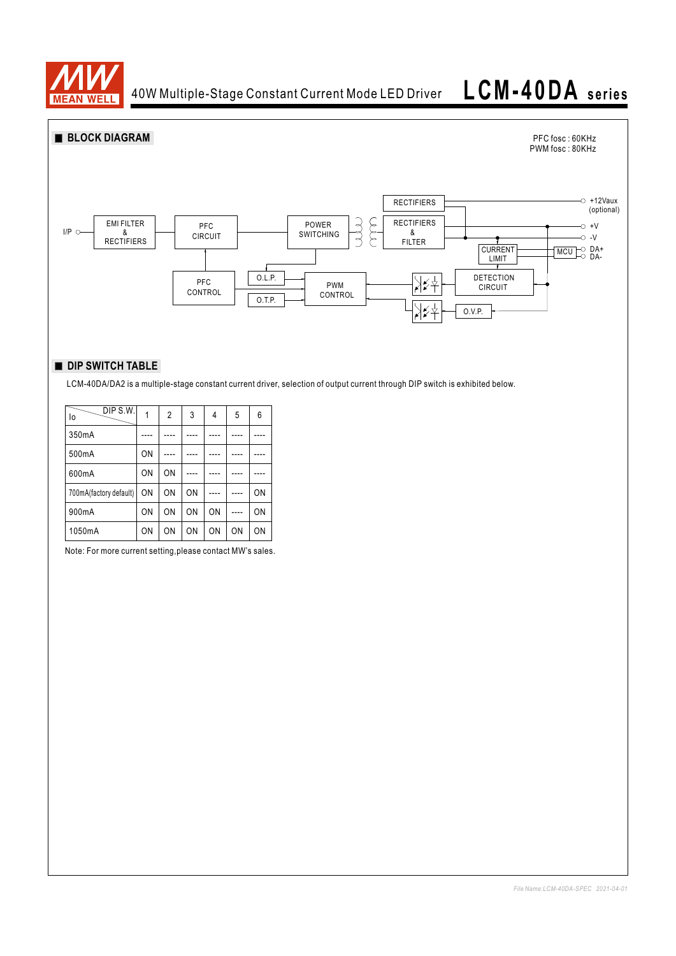

40W Multiple-Stage Constant Current Mode LED Driver

# **LCM-40DA se ries**



## **DIP SWITCH TABLE**

LCM-40DA/DA2 is a multiple-stage constant current driver, selection of output current through DIP switch is exhibited below.

| DIP S.W.<br>lo         |    | 2              | 3  | 4  | 5  | 6  |
|------------------------|----|----------------|----|----|----|----|
| 350mA                  |    |                |    |    |    |    |
| 500mA                  | ON |                |    |    |    |    |
| 600mA                  | ON | ON             |    |    |    |    |
| 700mA(factory default) | ON | ON             | ON |    |    | ON |
| 900mA                  | ON | ON             | ON | ON |    | ON |
| 1050mA                 | ON | 0 <sub>N</sub> | ON | ON | ON | ON |

Note: For more current setting,please contact MW's sales.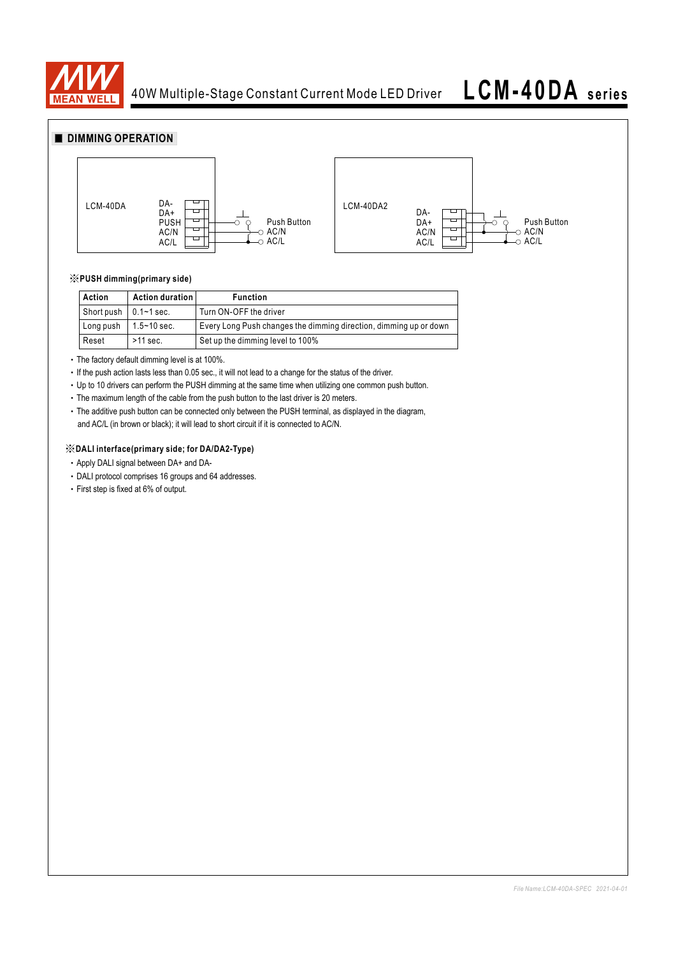

# **LCM-40DA se ries**

## **DIMMING OPERATION**



#### ※**PUSH dimming(primary side)**

| Action                        | Action duration | <b>Function</b>                                                   |
|-------------------------------|-----------------|-------------------------------------------------------------------|
| Short push $\vert$ 0.1~1 sec. |                 | Turn ON-OFF the driver                                            |
| Long push                     | 1.5∼10 sec.     | Every Long Push changes the dimming direction, dimming up or down |
| Reset                         | $>11$ sec.      | Set up the dimming level to 100%                                  |

‧The factory default dimming level is at 100%.

‧If the push action lasts less than 0.05 sec., it will not lead to a change for the status of the driver.

‧Up to 10 drivers can perform the PUSH dimming at the same time when utilizing one common push button.

‧The maximum length of the cable from the push button to the last driver is 20 meters.

‧The additive push button can be connected only between the PUSH terminal, as displayed in the diagram, and AC/L (in brown or black); it will lead to short circuit if it is connected to AC/N.

#### ※**DALI interface(primary side; for DA/DA2-Type)**

- ‧Apply DALI signal between DA+ and DA-
- ‧DALI protocol comprises 16 groups and 64 addresses.
- ‧First step is fixed at 6% of output.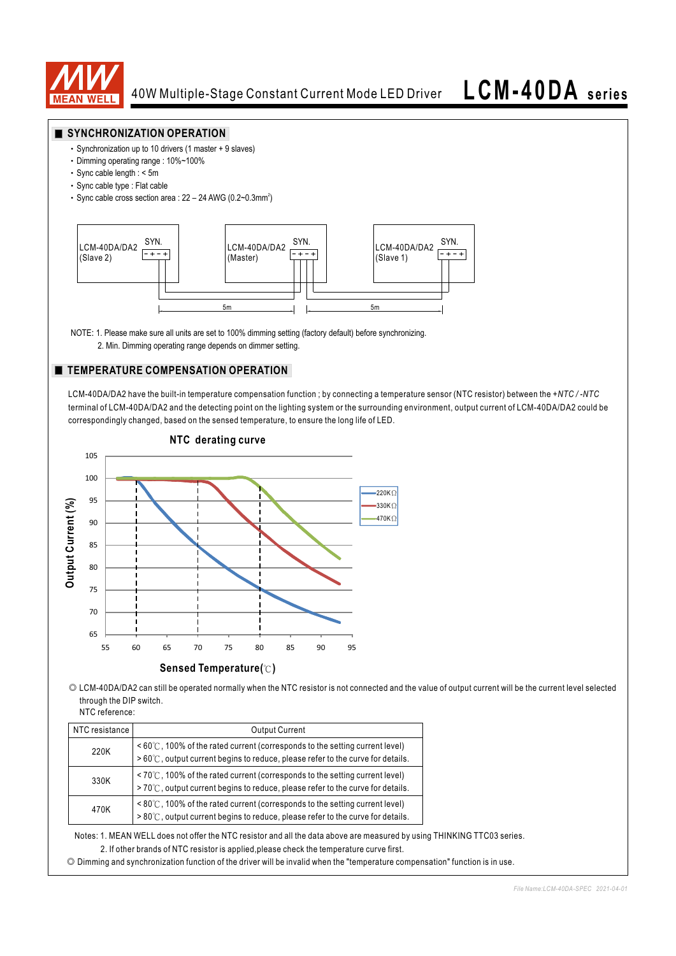

### **SYNCHRONIZATION OPERATION**

- ‧Synchronization up to 10 drivers (1 master + 9 slaves)
- ‧Dimming operating range : 10%~100%
- ‧Sync cable length : < 5m
- ‧Sync cable type : Flat cable
- Sync cable cross section area :  $22 24$  AWG (0.2~0.3mm<sup>2</sup>)



NOTE: 1. Please make sure all units are set to 100% dimming setting (factory default) before synchronizing.

2. Min. Dimming operating range depends on dimmer setting.

### **TEMPERATURE COMPENSATION OPERATION**

LCM-40DA/DA2 have the built-in temperature compensation function ; by connecting a temperature sensor (NTC resistor) between the *+NTC / -NTC*  terminal of LCM-40DA/DA2 and the detecting point on the lighting system or the surrounding environment, output current of LCM-40DA/DA2 could be correspondingly changed, based on the sensed temperature, to ensure the long life of LED.



**NTC derating curve**

◎ LCM-40DA/DA2 can still be operated normally when the NTC resistor is not connected and the value of output current will be the current level selected through the DIP switch.

| NTC reference: |
|----------------|
|                |

| NTC resistance I | <b>Output Current</b>                                                                                                                                                                  |  |  |  |  |
|------------------|----------------------------------------------------------------------------------------------------------------------------------------------------------------------------------------|--|--|--|--|
| 220K             | $\leq 60^{\circ}$ (C, 100% of the rated current (corresponds to the setting current level)<br>$>60^{\circ}$ C, output current begins to reduce, please refer to the curve for details. |  |  |  |  |
| 330K             | $\leq 70^{\circ}$ C, 100% of the rated current (corresponds to the setting current level)<br>>70℃, output current begins to reduce, please refer to the curve for details.             |  |  |  |  |
| 470K             | $\leq$ 80°C, 100% of the rated current (corresponds to the setting current level)<br>$>80^{\circ}$ C, output current begins to reduce, please refer to the curve for details.          |  |  |  |  |

Notes: 1. MEAN WELL does not offer the NTC resistor and all the data above are measured by using THINKING TTC03 series.

2. If other brands of NTC resistor is applied,please check the temperature curve first.

◎ Dimming and synchronization function of the driver will be invalid when the "temperature compensation" function is in use.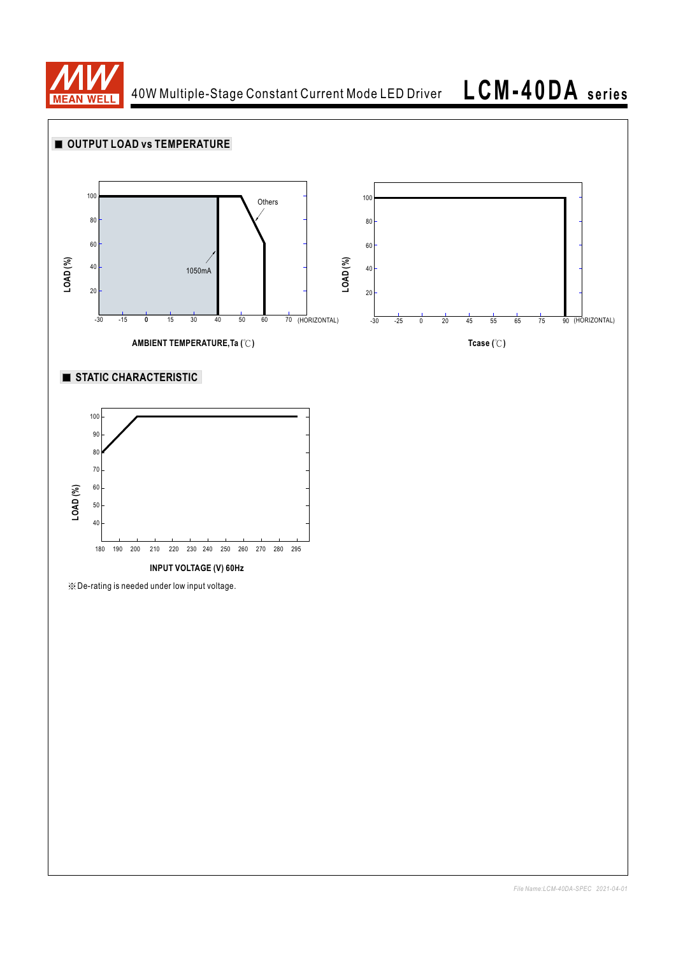

40W Multiple-Stage Constant Current Mode LED Driver

**LCM-40DA se ries**

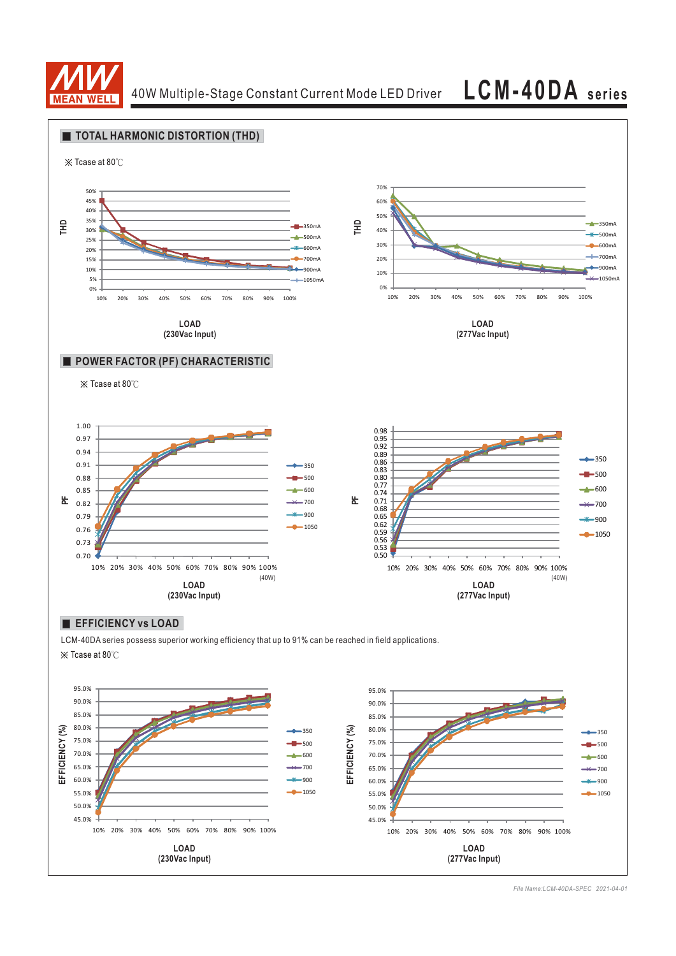

40W Multiple-Stage Constant Current Mode LED Driver **LCM-40DA series**





*File Name:LCM-40DA-SPEC 2021-04-01*